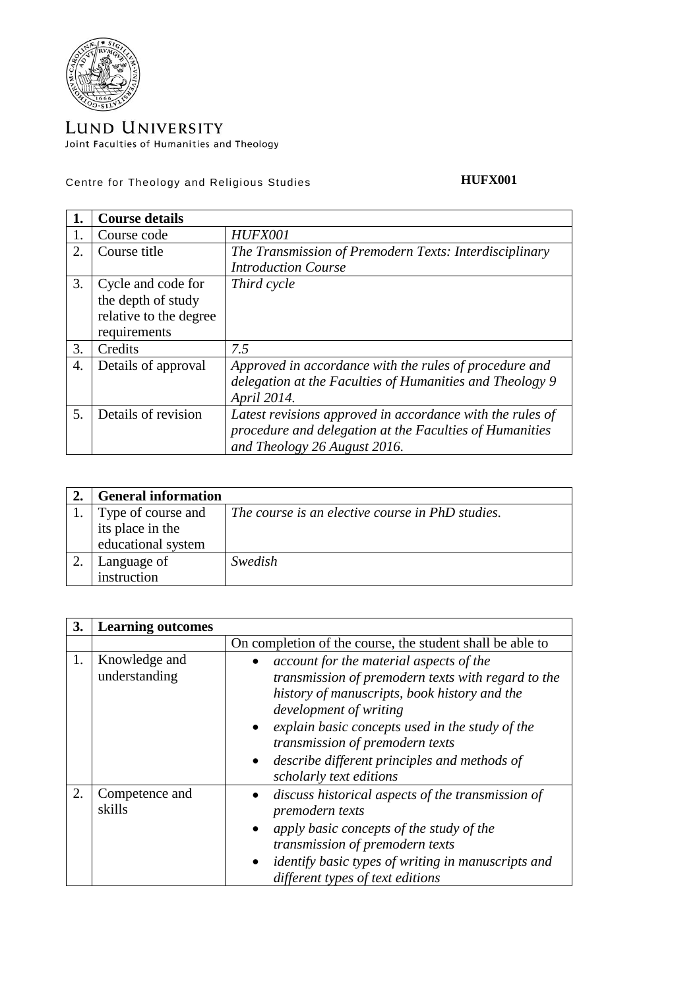

## LUND UNIVERSITY Joint Faculties of Humanities and Theology

Centre for Theology and Religious Studies

## **HUFX001**

|    | <b>Course details</b>  |                                                           |
|----|------------------------|-----------------------------------------------------------|
| 1. | Course code            | HUFX001                                                   |
| 2. | Course title           | The Transmission of Premodern Texts: Interdisciplinary    |
|    |                        | <b>Introduction Course</b>                                |
| 3. | Cycle and code for     | Third cycle                                               |
|    | the depth of study     |                                                           |
|    | relative to the degree |                                                           |
|    | requirements           |                                                           |
| 3. | Credits                | 7.5                                                       |
| 4. | Details of approval    | Approved in accordance with the rules of procedure and    |
|    |                        | delegation at the Faculties of Humanities and Theology 9  |
|    |                        | April 2014.                                               |
| 5. | Details of revision    | Latest revisions approved in accordance with the rules of |
|    |                        | procedure and delegation at the Faculties of Humanities   |
|    |                        | and Theology 26 August 2016.                              |

| <b>General information</b> |                                                  |
|----------------------------|--------------------------------------------------|
| Type of course and         | The course is an elective course in PhD studies. |
| its place in the           |                                                  |
| educational system         |                                                  |
| Language of                | Swedish                                          |
| instruction                |                                                  |

| 3. | <b>Learning outcomes</b>       |                                                                                                                                                                                                                                                                                                                                          |
|----|--------------------------------|------------------------------------------------------------------------------------------------------------------------------------------------------------------------------------------------------------------------------------------------------------------------------------------------------------------------------------------|
|    |                                | On completion of the course, the student shall be able to                                                                                                                                                                                                                                                                                |
| 1. | Knowledge and<br>understanding | account for the material aspects of the<br>transmission of premodern texts with regard to the<br>history of manuscripts, book history and the<br>development of writing<br>explain basic concepts used in the study of the<br>transmission of premodern texts<br>describe different principles and methods of<br>scholarly text editions |
| 2. | Competence and<br>skills       | discuss historical aspects of the transmission of<br>premodern texts<br>apply basic concepts of the study of the<br>transmission of premodern texts<br><i>identify basic types of writing in manuscripts and</i><br>different types of text editions                                                                                     |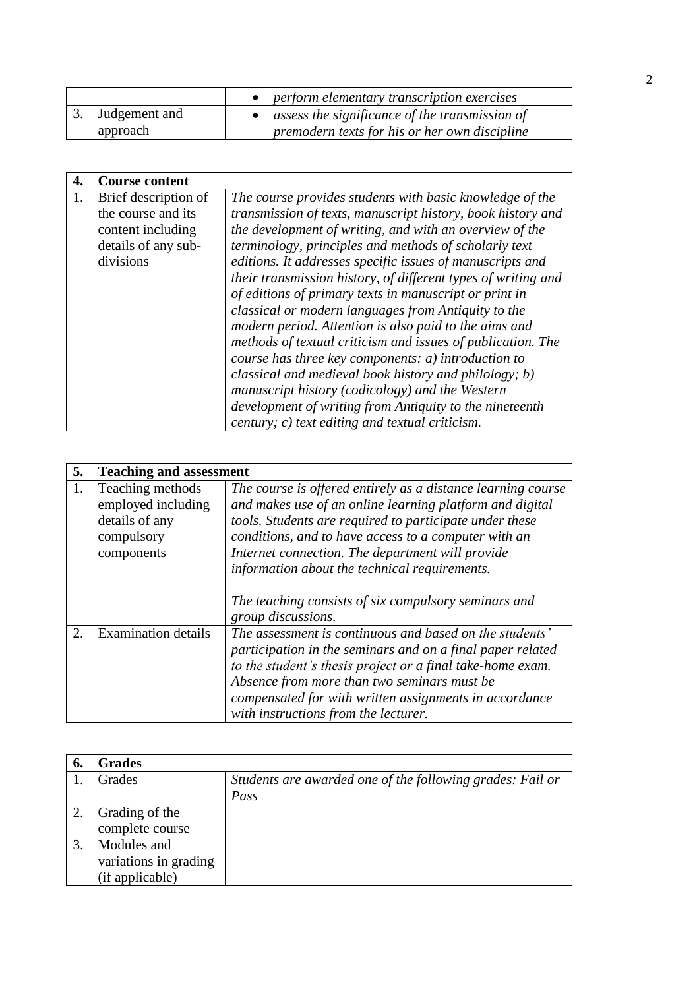|                  | • perform elementary transcription exercises     |
|------------------|--------------------------------------------------|
| 3. Judgement and | • assess the significance of the transmission of |
| approach         | premodern texts for his or her own discipline    |

| 4. | <b>Course content</b> |                                                               |
|----|-----------------------|---------------------------------------------------------------|
|    | Brief description of  | The course provides students with basic knowledge of the      |
|    | the course and its    | transmission of texts, manuscript history, book history and   |
|    | content including     | the development of writing, and with an overview of the       |
|    | details of any sub-   | terminology, principles and methods of scholarly text         |
|    | divisions             | editions. It addresses specific issues of manuscripts and     |
|    |                       | their transmission history, of different types of writing and |
|    |                       | of editions of primary texts in manuscript or print in        |
|    |                       | classical or modern languages from Antiquity to the           |
|    |                       | modern period. Attention is also paid to the aims and         |
|    |                       | methods of textual criticism and issues of publication. The   |
|    |                       | course has three key components: a) introduction to           |
|    |                       | classical and medieval book history and philology; b)         |
|    |                       | manuscript history (codicology) and the Western               |
|    |                       | development of writing from Antiquity to the nineteenth       |
|    |                       | century; c) text editing and textual criticism.               |

| 5. | <b>Teaching and assessment</b>                                                       |                                                                                                                                                                                                                                                                                                                                                  |
|----|--------------------------------------------------------------------------------------|--------------------------------------------------------------------------------------------------------------------------------------------------------------------------------------------------------------------------------------------------------------------------------------------------------------------------------------------------|
| 1. | Teaching methods<br>employed including<br>details of any<br>compulsory<br>components | The course is offered entirely as a distance learning course<br>and makes use of an online learning platform and digital<br>tools. Students are required to participate under these<br>conditions, and to have access to a computer with an<br>Internet connection. The department will provide<br>information about the technical requirements. |
|    |                                                                                      | The teaching consists of six compulsory seminars and<br>group discussions.                                                                                                                                                                                                                                                                       |
| 2. | <b>Examination details</b>                                                           | The assessment is continuous and based on the students'<br>participation in the seminars and on a final paper related<br>to the student's thesis project or a final take-home exam.<br>Absence from more than two seminars must be<br>compensated for with written assignments in accordance<br>with instructions from the lecturer.             |

| 6. | <b>Grades</b>         |                                                           |
|----|-----------------------|-----------------------------------------------------------|
|    | Grades                | Students are awarded one of the following grades: Fail or |
|    |                       | Pass                                                      |
|    | Grading of the        |                                                           |
|    | complete course       |                                                           |
|    | Modules and           |                                                           |
|    | variations in grading |                                                           |
|    | (if applicable)       |                                                           |